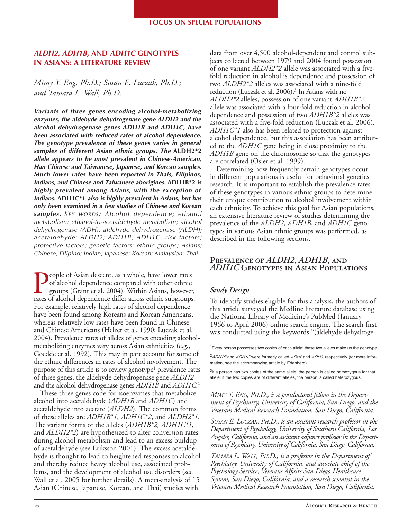# *ALDH2, ADH1B,* **AND** *ADH1C* **GENOTYPES IN ASIANS: A LITERATURE REVIEW**

*Mimy Y. Eng, Ph.D.; Susan E. Luczak, Ph.D.; and Tamara L. Wall, Ph.D.* 

*Variants of three genes encoding alcohol-metabolizing enzymes, the aldehyde dehydrogenase gene ALDH2 and the alcohol dehydrogenase genes ADH1B and ADH1C, have been associated with reduced rates of alcohol dependence. The genotype prevalence of these genes varies in general samples of different Asian ethnic groups. The* **ALDH2\*2**  *allele appears to be most prevalent in Chinese-American, Han Chinese and Taiwanese, Japanese, and Korean samples. Much lower rates have been reported in Thais, Filipinos, Indians, and Chinese and Taiwanese aborigines.* **ADH1B\*2** *is highly prevalent among Asians, with the exception of Indians.* **ADH1C\*1** *also is highly prevalent in Asians, but has only been examined in a few studies of Chinese and Korean samples. KEY WORDS: Alcohol dependence; ethanol metabolism; ethanol-to-acetaldehyde metabolism; alcohol dehydrogenase (ADH); aldehyde dehydrogenase (ALDH); acetaldehyde; ALDH2; ADH1B; ADH1C; risk factors; protective factors; genetic factors; ethnic groups; Asians; Chinese; Filipino; Indian; Japanese; Korean; Malaysian; Thai* 

People of Asian descent, as a whole, have lower rates<br>of alcohol dependence compared with other ethnic<br>groups (Grant et al. 2004). Within Asians, however<br>rates of alcohol dependence differ across ethnic subgroups of alcohol dependence compared with other ethnic groups (Grant et al. 2004). Within Asians, however, rates of alcohol dependence differ across ethnic subgroups. For example, relatively high rates of alcohol dependence have been found among Koreans and Korean Americans, whereas relatively low rates have been found in Chinese and Chinese Americans (Helzer et al. 1990; Luczak et al. 2004). Prevalence rates of alleles of genes encoding alcoholmetabolizing enzymes vary across Asian ethnicities (e.g., Goedde et al. 1992). This may in part account for some of the ethnic differences in rates of alcohol involvement. The purpose of this article is to review genotype<sup>1</sup> prevalence rates of three genes, the aldehyde dehydrogenase gene *ALDH2*  and the alcohol dehydrogenase genes *ADH1B* and *ADH1C*. 2

These three genes code for isoenzymes that metabolize alcohol into acetaldehyde (*ADH1B* and *ADH1C*) and acetaldehyde into acetate (*ALDH2*). The common forms of these alleles are *ADH1B\*1*, *ADH1C\*2*, and *ALDH2\*1*. The variant forms of the alleles (*ADH1B\*2, ADH1C\*1,*  and *ALDH2\*2*) are hypothesized to alter conversion rates during alcohol metabolism and lead to an excess buildup of acetaldehyde (see Eriksson 2001). The excess acetaldehyde is thought to lead to heightened responses to alcohol and thereby reduce heavy alcohol use, associated problems, and the development of alcohol use disorders (see Wall et al. 2005 for further details). A meta-analysis of 15 Asian (Chinese, Japanese, Korean, and Thai) studies with

 allele was associated with a four-fold reduction in alcohol data from over 4,500 alcohol-dependent and control subjects collected between 1979 and 2004 found possession of one variant *ALDH2\*2* allele was associated with a fivefold reduction in alcohol is dependence and possession of two *ALDH2\*2* alleles was associated with a nine-fold reduction (Luczak et al. 2006).<sup>3</sup> In Asians with no *ALDH2\*2* alleles, possession of one variant *ADH1B\*2*  dependence and possession of two *ADH1B\*2* alleles was associated with a five-fold reduction (Luczak et al. 2006). *ADH1C\*1* also has been related to protection against alcohol dependence, but this association has been attributed to the *ADH1C* gene being in close proximity to the *ADH1B* gene on the chromosome so that the genotypes are correlated (Osier et al. 1999).

Determining how frequently certain genotypes occur in different populations is useful for behavioral genetics research. It is important to establish the prevalence rates of these genotypes in various ethnic groups to determine their unique contribution to alcohol involvement within each ethnicity. To achieve this goal for Asian populations, an extensive literature review of studies determining the prevalence of the *ALDH2*, *ADH1B*, and *ADH1C* genotypes in various Asian ethnic groups was performed, as described in the following sections.

# **Prevalence of** *ALDH2***,** *ADH1B***, and**  *ADH1C* **Genotypes in Asian Populations**

# *Study Design*

To identify studies eligible for this analysis, the authors of this article surveyed the Medline literature database using the National Library of Medicine's PubMed (January 1966 to April 2006) online search engine. The search first was conducted using the keywords "(aldehyde dehydroge-

<sup>1</sup>Every person possesses two copies of each allele; these two alleles make up the genotype.

 $2$ ADH1B and ADH1C were formerly called ADH2 and ADH3, respectively (for more information, see the accompanying article by Edenberg).

<sup>3</sup>If a person has two copies of the same allele, the person is called homozygous for that allele; if the two copies are of different alleles, the person is called heterozygous.

*MIMY Y. ENG, PH.D., is a postdoctoral fellow in the Department of Psychiatry, University of California, San Diego, and the Veterans Medical Research Foundation, San Diego, California.* 

*SUSAN E. LUCZAK, PH.D., is an assistant research professor in the Department of Psychology, University of Southern California, Los Angeles, California, and an assistant adjunct professor in the Department of Psychiatry, University of California, San Diego, California.* 

*TAMARA L. WALL, PH.D., is a professor in the Department of Psychiatry, University of California, and associate chief of the Psychology Service, Veterans Affairs San Diego Healthcare System, San Diego, California, and a research scientist in the Veterans Medical Research Foundation, San Diego, California.*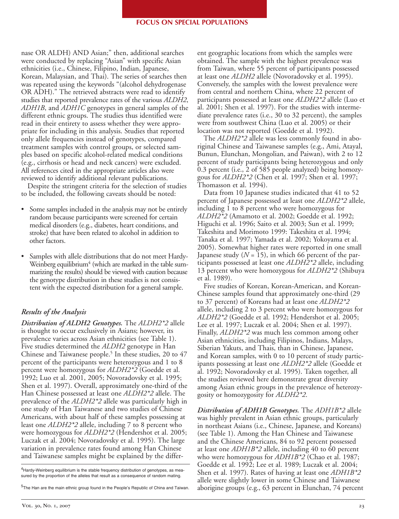#### **FOCUS ON SPECIAL POPULATIONS**

nase OR ALDH) AND Asian;" then, additional searches were conducted by replacing "Asian" with specific Asian ethnicities (i.e., Chinese, Filipino, Indian, Japanese, Korean, Malaysian, and Thai). The series of searches then was repeated using the keywords "(alcohol dehydrogenase OR ADH)." The retrieved abstracts were read to identify studies that reported prevalence rates of the various *ALDH2*, *ADH1B*, and *ADH1C* genotypes in general samples of the different ethnic groups. The studies thus identified were read in their entirety to assess whether they were appropriate for including in this analysis. Studies that reported only allele frequencies instead of genotypes, compared treatment samples with control groups, or selected samples based on specific alcohol-related medical conditions (e.g., cirrhosis or head and neck cancers) were excluded. All references cited in the appropriate articles also were reviewed to identify additional relevant publications.

Despite the stringent criteria for the selection of studies to be included, the following caveats should be noted:

- Some samples included in the analysis may not be entirely random because participants were screened for certain medical disorders (e.g., diabetes, heart conditions, and stroke) that have been related to alcohol in addition to other factors.
- Samples with allele distributions that do not meet Hardy-Weinberg equilibrium<sup>4</sup> (which are marked in the table summarizing the results) should be viewed with caution because the genotype distribution in these studies is not consistent with the expected distribution for a general sample.

# *Results of the Analysis*

*Distribution of ALDH2 Genotypes.* The *ALDH2\*2* allele is thought to occur exclusively in Asians; however, its prevalence varies across Asian ethnicities (see Table 1). Five studies determined the *ALDH2* genotype in Han Chinese and Taiwanese people.<sup>5</sup> In these studies, 20 to 47 percent of the participants were heterozygous and 1 to 8 percent were homozygous for *ALDH2\*2* (Goedde et al. 1992; Luo et al. 2001, 2005; Novoradovsky et al. 1995; Shen et al. 1997). Overall, approximately one-third of the Han Chinese possessed at least one *ALDH2\*2* allele. The prevalence of the *ALDH2\*2* allele was particularly high in one study of Han Taiwanese and two studies of Chinese Americans, with about half of these samples possessing at least one *ALDH2\*2* allele, including 7 to 8 percent who were homozygous for *ALDH2\*2* (Hendershot et al. 2005; Luczak et al. 2004; Novoradovsky et al. 1995). The large variation in prevalence rates found among Han Chinese and Taiwanese samples might be explained by the differ-

<sup>4</sup>Hardy-Weinberg equilibrium is the stable frequency distribution of genotypes, as measured by the proportion of the alleles that result as a consequence of random mating.

<sup>5</sup>The Han are the main ethnic group found in the People's Republic of China and Taiwan.

ent geographic locations from which the samples were obtained. The sample with the highest prevalence was from Taiwan, where 55 percent of participants possessed at least one *ALDH2* allele (Novoradovsky et al. 1995). Conversely, the samples with the lowest prevalence were from central and northern China, where 22 percent of participants possessed at least one *ALDH2\*2* allele (Luo et al. 2001; Shen et al. 1997). For the studies with intermediate prevalence rates (i.e., 30 to 32 percent), the samples were from southwest China (Luo et al. 2005) or their location was not reported (Goedde et al. 1992).

The *ALDH2\*2* allele was less commonly found in aboriginal Chinese and Taiwanese samples (e.g., Ami, Atayal, Bunun, Elunchan, Mongolian, and Paiwan), with 2 to 12 percent of study participants being heterozygous and only 0.3 percent (i.e., 2 of 585 people analyzed) being homozygous for *ALDH2\*2* (Chen et al. 1997; Shen et al. 1997; Thomasson et al. 1994).

Data from 10 Japanese studies indicated that 41 to 52 percent of Japanese possessed at least one *ALDH2\*2* allele, including 1 to 8 percent who were homozygous for *ALDH2\*2* (Amamoto et al. 2002; Goedde et al. 1992; Higuchi et al. 1996; Saito et al. 2003; Sun et al. 1999; Takeshita and Morimoto 1999: Takeshita et al. 1994; Tanaka et al. 1997; Yamada et al. 2002; Yokoyama et al. 2005). Somewhat higher rates were reported in one small Japanese study  $(N = 15)$ , in which 66 percent of the participants possessed at least one *ALDH2\*2* allele, including 13 percent who were homozygous for *ALDH2\*2* (Shibuya et al. 1989).

Five studies of Korean, Korean-American, and Korean-Chinese samples found that approximately one-third (29 to 37 percent) of Koreans had at least one *ALDH2\*2*  allele, including 2 to 3 percent who were homozygous for *ALDH2\*2* (Goedde et al. 1992; Hendershot et al. 2005; Lee et al. 1997; Luczak et al. 2004; Shen et al. 1997). Finally, *ALDH2\*2* was much less common among other Asian ethnicities, including Filipinos, Indians, Malays, Siberian Yakuts, and Thais, than in Chinese, Japanese, and Korean samples, with 0 to 10 percent of study participants possessing at least one *ALDH2\*2* allele (Goedde et al. 1992; Novoradovsky et al. 1995). Taken together, all the studies reviewed here demonstrate great diversity among Asian ethnic groups in the prevalence of heterozygosity or homozygosity for *ALDH2\*2*.

*Distribution of ADH1B Genotypes.* The *ADH1B\*2* allele was highly prevalent in Asian ethnic groups, particularly in northeast Asians (i.e., Chinese, Japanese, and Koreans) (see Table 1). Among the Han Chinese and Taiwanese and the Chinese Americans, 84 to 92 percent possessed at least one *ADH1B\*2* allele, including 40 to 60 percent who were homozygous for *ADH1B\*2* (Chao et al. 1987; Goedde et al. 1992; Lee et al. 1989; Luczak et al. 2004; Shen et al. 1997). Rates of having at least one *ADH1B\*2*  allele were slightly lower in some Chinese and Taiwanese aborigine groups (e.g., 63 percent in Elunchan, 74 percent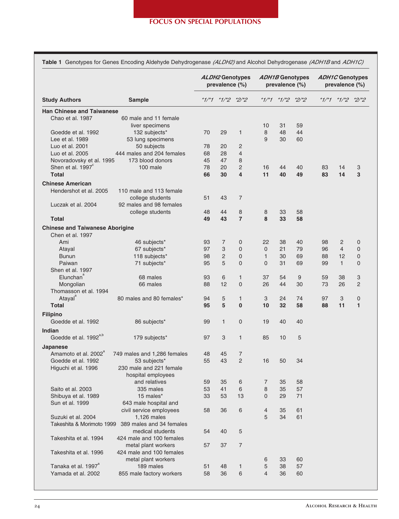| <b>Study Authors</b>                   | Sample                      | ALDH2 Genotypes<br>prevalence (%) |                   |                         | <b>ADH1B Genotypes</b><br>prevalence (%) |                         |    | <b>ADH1C Genotypes</b><br>prevalence (%) |                         |                |
|----------------------------------------|-----------------------------|-----------------------------------|-------------------|-------------------------|------------------------------------------|-------------------------|----|------------------------------------------|-------------------------|----------------|
|                                        |                             |                                   | *1/*1 *1/*2 *2/*2 |                         |                                          | $*1/*1$ $*1/*2$ $*2/*2$ |    |                                          | $*1/*1$ $*1/*2$ $*2/*2$ |                |
| <b>Han Chinese and Taiwanese</b>       |                             |                                   |                   |                         |                                          |                         |    |                                          |                         |                |
| Chao et al. 1987                       | 60 male and 11 female       |                                   |                   |                         |                                          |                         |    |                                          |                         |                |
|                                        | liver specimens             |                                   |                   |                         | 10                                       | 31                      | 59 |                                          |                         |                |
| Goedde et al. 1992                     | 132 subjects*               | 70                                | 29                | 1                       | 8                                        | 48                      | 44 |                                          |                         |                |
| Lee et al. 1989                        | 53 lung specimens           |                                   |                   |                         | 9                                        | 30                      | 60 |                                          |                         |                |
| Luo et al. 2001                        | 50 subjects                 | 78                                | 20                | 2                       |                                          |                         |    |                                          |                         |                |
| Luo et al. 2005                        | 444 males and 204 females   | 68                                | 28                | $\overline{4}$          |                                          |                         |    |                                          |                         |                |
| Novoradovsky et al. 1995               | 173 blood donors            | 45                                | 47                | 8                       |                                          |                         |    |                                          |                         |                |
| Shen et al. 1997 <sup>°</sup>          | 100 male                    | 78                                | 20                | $\overline{2}$          | 16                                       | 44                      | 40 | 83                                       | 14                      | 3              |
| <b>Total</b>                           |                             | 66                                | 30                | $\overline{\mathbf{4}}$ | 11                                       | 40                      | 49 | 83                                       | 14                      | 3              |
| <b>Chinese American</b>                |                             |                                   |                   |                         |                                          |                         |    |                                          |                         |                |
| Hendershot et al. 2005                 | 110 male and 113 female     |                                   |                   |                         |                                          |                         |    |                                          |                         |                |
|                                        | college students            | 51                                | 43                | 7                       |                                          |                         |    |                                          |                         |                |
| Luczak et al. 2004                     | 92 males and 98 females     |                                   |                   |                         |                                          |                         |    |                                          |                         |                |
|                                        | college students            | 48                                | 44                | 8                       | 8                                        | 33                      | 58 |                                          |                         |                |
| <b>Total</b>                           |                             | 49                                | 43                | $\overline{7}$          | 8                                        | 33                      | 58 |                                          |                         |                |
|                                        |                             |                                   |                   |                         |                                          |                         |    |                                          |                         |                |
| <b>Chinese and Taiwanese Aborigine</b> |                             |                                   |                   |                         |                                          |                         |    |                                          |                         |                |
| Chen et al. 1997                       |                             |                                   |                   |                         |                                          |                         |    |                                          |                         |                |
| Ami                                    | 46 subjects*                | 93                                | 7                 | 0                       | 22                                       | 38                      | 40 | 98                                       | 2                       | 0              |
| Atayal                                 | 67 subjects*                | 97                                | 3                 | $\overline{0}$          | 0                                        | 21                      | 79 | 96                                       | $\overline{4}$          | 0              |
| <b>Bunun</b>                           | 118 subjects*               | 98                                | $\overline{2}$    | $\overline{0}$          | $\mathbf{1}$                             | 30                      | 69 | 88                                       | 12                      | 0              |
| Paiwan                                 | 71 subjects*                | 95                                | 5                 | $\Omega$                | 0                                        | 31                      | 69 | 99                                       | $\mathbf{1}$            | 0              |
| Shen et al. 1997                       |                             |                                   |                   |                         |                                          |                         |    |                                          |                         |                |
| Elunchan                               | 68 males                    | 93                                | 6                 | $\mathbf{1}$            | 37                                       | 54                      | 9  | 59                                       | 38                      | 3              |
| Mongolian                              | 66 males                    | 88                                | 12                | $\overline{0}$          | 26                                       | 44                      | 30 | 73                                       | 26                      | $\overline{2}$ |
| Thomasson et al. 1994                  |                             |                                   |                   |                         |                                          |                         |    |                                          |                         |                |
| Atayal                                 | 80 males and 80 females*    | 94                                | 5                 | $\mathbf{1}$            | 3                                        | 24                      | 74 | 97                                       | 3                       | 0              |
| <b>Total</b>                           |                             | 95                                | 5                 | $\mathbf{0}$            | 10                                       | 32                      | 58 | 88                                       | 11                      | 1              |
| <b>Filipino</b>                        |                             |                                   |                   |                         |                                          |                         |    |                                          |                         |                |
| Goedde et al. 1992                     | 86 subjects*                | 99                                | $\mathbf{1}$      | 0                       | 19                                       | 40                      | 40 |                                          |                         |                |
| Indian                                 |                             |                                   |                   |                         |                                          |                         |    |                                          |                         |                |
| Goedde et al. 1992 <sup>a,b</sup>      | 179 subjects*               | 97                                | 3                 | $\mathbf{1}$            | 85                                       | 10                      | 5  |                                          |                         |                |
|                                        |                             |                                   |                   |                         |                                          |                         |    |                                          |                         |                |
| Japanese                               |                             |                                   |                   |                         |                                          |                         |    |                                          |                         |                |
| Amamoto et al. 2002 <sup>ª</sup>       | 749 males and 1,286 females | 48                                | 45                | 7                       |                                          |                         |    |                                          |                         |                |
| Goedde et al. 1992                     | 53 subjects*                | 55                                | 43                | $\overline{c}$          | 16                                       | 50                      | 34 |                                          |                         |                |
| Higuchi et al. 1996                    | 230 male and 221 female     |                                   |                   |                         |                                          |                         |    |                                          |                         |                |
|                                        | hospital employees          |                                   |                   |                         |                                          |                         |    |                                          |                         |                |
|                                        | and relatives               | 59                                | 35                | 6                       | 7                                        | 35                      | 58 |                                          |                         |                |
| Saito et al. 2003                      | 335 males                   | 53                                | 41                | 6                       | 8                                        | 35                      | 57 |                                          |                         |                |
| Shibuya et al. 1989                    | 15 males*                   | 33                                | 53                | 13                      | $\mathbf{0}$                             | 29                      | 71 |                                          |                         |                |
| Sun et al. 1999                        | 643 male hospital and       |                                   |                   |                         |                                          |                         |    |                                          |                         |                |
|                                        | civil service employees     | 58                                | 36                | 6                       | 4                                        | 35                      | 61 |                                          |                         |                |
| Suzuki et al. 2004                     | 1,126 males                 |                                   |                   |                         | 5                                        | 34                      | 61 |                                          |                         |                |
| Takeshita & Morimoto 1999              | 389 males and 34 females    |                                   |                   |                         |                                          |                         |    |                                          |                         |                |
|                                        | medical students            | 54                                | 40                | 5                       |                                          |                         |    |                                          |                         |                |
| Takeshita et al. 1994                  | 424 male and 100 females    |                                   |                   |                         |                                          |                         |    |                                          |                         |                |
|                                        | metal plant workers         | 57                                | 37                | $\overline{7}$          |                                          |                         |    |                                          |                         |                |
| Takeshita et al. 1996                  | 424 male and 100 females    |                                   |                   |                         |                                          |                         |    |                                          |                         |                |
|                                        |                             |                                   |                   |                         |                                          |                         |    |                                          |                         |                |
|                                        | metal plant workers         |                                   |                   |                         | 6                                        | 33                      | 60 |                                          |                         |                |
| Tanaka et al. 1997 <sup>ª</sup>        | 189 males                   | 51                                | 48                | $\mathbf{1}$            | 5                                        | 38                      | 57 |                                          |                         |                |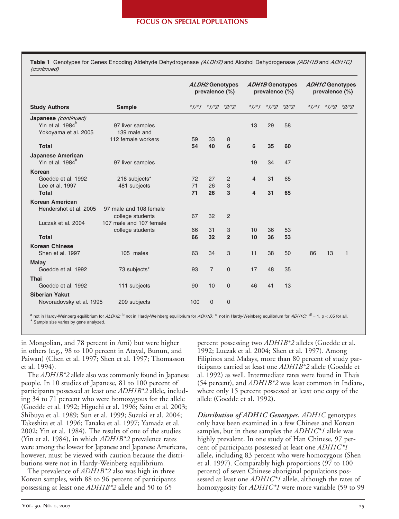**Table 1** Genotypes for Genes Encoding Aldehyde Dehydrogenase (ALDH2) and Alcohol Dehydrogenase (ADH1B and ADH1C) (continued)

| <b>Study Authors</b>                                                         | <b>Sample</b>                                                         | ALDH2 Genotypes<br>prevalence (%) |                |                | <b>ADH1B Genotypes</b><br>prevalence (%) |    |               | <b>ADH1C Genotypes</b><br>prevalence (%) |                       |              |
|------------------------------------------------------------------------------|-----------------------------------------------------------------------|-----------------------------------|----------------|----------------|------------------------------------------|----|---------------|------------------------------------------|-----------------------|--------------|
|                                                                              |                                                                       | $*1/*1$                           | $*1/2$ $*2/2$  |                | $*1/*1$                                  |    | $*1/2$ $*2/2$ |                                          | * $1/7$ * $1/7$ * $2$ | $*2/*2$      |
| Japanese (continued)<br>Yin et al. 1984 <sup>°</sup><br>Yokoyama et al. 2005 | 97 liver samples<br>139 male and                                      |                                   |                |                | 13                                       | 29 | 58            |                                          |                       |              |
|                                                                              | 112 female workers                                                    | 59                                | 33             | 8              |                                          |    |               |                                          |                       |              |
| <b>Total</b>                                                                 |                                                                       | 54                                | 40             | 6              | 6                                        | 35 | 60            |                                          |                       |              |
| Japanese American<br>Yin et al. $1984^b$                                     | 97 liver samples                                                      |                                   |                |                | 19                                       | 34 | 47            |                                          |                       |              |
| Korean                                                                       |                                                                       |                                   |                |                |                                          |    |               |                                          |                       |              |
| Goedde et al. 1992                                                           | 218 subjects*                                                         | 72                                | 27             | 2              | 4                                        | 31 | 65            |                                          |                       |              |
| Lee et al. 1997                                                              | 481 subjects                                                          | 71                                | 26             | 3              |                                          |    |               |                                          |                       |              |
| <b>Total</b>                                                                 |                                                                       | 71                                | 26             | 3              | 4                                        | 31 | 65            |                                          |                       |              |
| Korean American                                                              |                                                                       |                                   |                |                |                                          |    |               |                                          |                       |              |
| Hendershot et al. 2005<br>Luczak et al. 2004                                 | 97 male and 108 female<br>college students<br>107 male and 107 female | 67                                | 32             | $\overline{2}$ |                                          |    |               |                                          |                       |              |
|                                                                              | college students                                                      | 66                                | 31             | 3              | 10                                       | 36 | 53            |                                          |                       |              |
| <b>Total</b>                                                                 |                                                                       | 66                                | 32             | $\overline{2}$ | 10                                       | 36 | 53            |                                          |                       |              |
| <b>Korean Chinese</b>                                                        |                                                                       |                                   |                |                |                                          |    |               |                                          |                       |              |
| Shen et al. 1997                                                             | 105 males                                                             | 63                                | 34             | 3              | 11                                       | 38 | 50            | 86                                       | 13                    | $\mathbf{1}$ |
| <b>Malay</b>                                                                 |                                                                       |                                   |                |                |                                          |    |               |                                          |                       |              |
| Goedde et al. 1992                                                           | 73 subjects*                                                          | 93                                | $\overline{7}$ | 0              | 17                                       | 48 | 35            |                                          |                       |              |
| Thai                                                                         |                                                                       |                                   |                |                |                                          |    |               |                                          |                       |              |
| Goedde et al. 1992                                                           | 111 subjects                                                          | 90                                | 10             | $\mathbf{0}$   | 46                                       | 41 | 13            |                                          |                       |              |
| <b>Siberian Yakut</b>                                                        |                                                                       |                                   |                |                |                                          |    |               |                                          |                       |              |
| Novoradovsky et al. 1995                                                     | 209 subjects                                                          | 100                               | $\mathbf 0$    | $\mathbf 0$    |                                          |    |               |                                          |                       |              |

<sup>a</sup> not in Hardy-Weinberg equilibrium for *ALDH2*;<sup>, b</sup> not in Hardy-Weinberg equilibrium for *ADH1B;*  $^{\circ}$  not in Hardy-Weinberg equilibrium for *ADH1C;*  $^{\circ}$  = 1, p < .05 for all. Sample size varies by gene analyzed.

in Mongolian, and 78 percent in Ami) but were higher in others (e.g., 98 to 100 percent in Atayal, Bunun, and Paiwan) (Chen et al. 1997; Shen et al. 1997; Thomasson et al. 1994).

The *ADH1B\*2* allele also was commonly found in Japanese people. In 10 studies of Japanese, 81 to 100 percent of participants possessed at least one *ADH1B\*2* allele, including 34 to 71 percent who were homozygous for the allele (Goedde et al. 1992; Higuchi et al. 1996; Saito et al. 2003; Shibuya et al. 1989; Sun et al. 1999; Suzuki et al. 2004; Takeshita et al. 1996; Tanaka et al. 1997; Yamada et al. 2002; Yin et al. 1984). The results of one of the studies (Yin et al. 1984), in which *ADH1B\*2* prevalence rates were among the lowest for Japanese and Japanese Americans, however, must be viewed with caution because the distributions were not in Hardy-Weinberg equilibrium.

The prevalence of *ADH1B\*2* also was high in three Korean samples*,* with 88 to 96 percent of participants possessing at least one *ADH1B\*2* allele and 50 to 65

percent possessing two *ADH1B\*2* alleles (Goedde et al. 1992; Luczak et al. 2004; Shen et al. 1997). Among Filipinos and Malays, more than 80 percent of study participants carried at least one *ADH1B\*2* allele (Goedde et al. 1992) as well. Intermediate rates were found in Thais (54 percent), and *ADH1B\*2* was least common in Indians, where only 15 percent possessed at least one copy of the allele (Goedde et al. 1992).

*Distribution of ADH1C Genotypes. ADH1C* genotypes only have been examined in a few Chinese and Korean samples, but in these samples the *ADH1C\*1* allele was highly prevalent. In one study of Han Chinese, 97 percent of participants possessed at least one *ADH1C\*1*  allele, including 83 percent who were homozygous (Shen et al. 1997). Comparably high proportions (97 to 100 percent) of seven Chinese aboriginal populations possessed at least one *ADH1C\*1* allele, although the rates of homozygosity for *ADH1C\*1* were more variable (59 to 99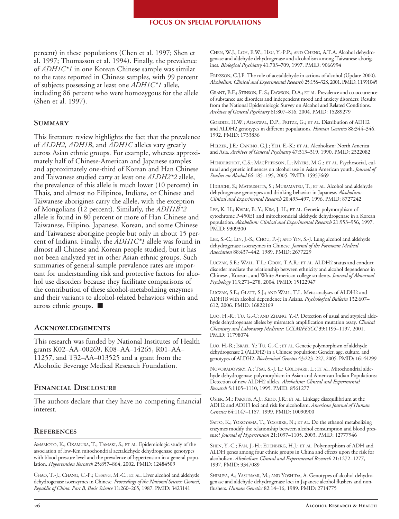### **FOCUS ON SPECIAL POPULATIONS**

percent) in these populations (Chen et al. 1997; Shen et al. 1997; Thomasson et al. 1994). Finally, the prevalence of *ADH1C\*1* in one Korean Chinese sample was similar to the rates reported in Chinese samples, with 99 percent of subjects possessing at least one *ADH1C\*1* allele, including 86 percent who were homozygous for the allele (Shen et al. 1997).

## **Summary**

This literature review highlights the fact that the prevalence of *ALDH2*, *ADH1B*, and *ADH1C* alleles vary greatly across Asian ethnic groups. For example, whereas approximately half of Chinese-American and Japanese samples and approximately one-third of Korean and Han Chinese and Taiwanese studied carry at least one *ALDH2\*2* allele, the prevalence of this allele is much lower (10 percent) in Thais, and almost no Filipinos, Indians, or Chinese and Taiwanese aborigines carry the allele, with the exception of Mongolians (12 percent). Similarly, the *ADH1B\*2*  allele is found in 80 percent or more of Han Chinese and Taiwanese, Filipino, Japanese, Korean, and some Chinese and Taiwanese aborigine people but only in about 15 percent of Indians. Finally, the *ADH1C\*1* allele was found in almost all Chinese and Korean people studied, but it has not been analyzed yet in other Asian ethnic groups. Such summaries of general-sample prevalence rates are important for understanding risk and protective factors for alcohol use disorders because they facilitate comparisons of the contribution of these alcohol-metabolizing enzymes and their variants to alcohol-related behaviors within and across ethnic groups. ■

## **Acknowledgements**

This research was funded by National Institutes of Health grants K02–AA–00269, K08–AA–14265, R01–AA– 11257, and T32–AA–013525 and a grant from the Alcoholic Beverage Medical Research Foundation.

## **Financial Disclosure**

The authors declare that they have no competing financial interest.

# **References**

AMAMOTO, K.; OKAMURA, T.; TAMAKI, S.; ET AL. Epidemiologic study of the association of low-Km mitochondrial acetaldehyde dehydrogenase genotypes with blood pressure level and the prevalence of hypertension in a general population. *Hypertension Research* 25:857–864, 2002. PMID: 12484509

CHAO, T.-J.; CHANG, C.-P.; CHANG, M.-C.; ET AL. Liver alcohol and aldehyde dehydrogenase isoenzymes in Chinese. *Proceedings of the National Science Council, Republic of China. Part B, Basic Science* 11:260–265, 1987. PMID: 3423141

CHEN, W.J.; LOH, E.W.; HSU, Y.-P.P.; AND CHENG, A.T.A. Alcohol dehydrogenase and aldehyde dehydrogenase and alcoholism among Taiwanese aborigines. *Biological Psychiatry* 41:703–709, 1997. PMID: 9066994

ERIKSSON, C.J.P. The role of acetaldehyde in actions of alcohol (Update 2000). *Alcoholism: Clinical and Experimental Research* 25:15S–32S, 2001. PMID: 11391045

GRANT, B.F.; STINSON, F. S.; DAWSON, D.A.; ET AL. Prevalence and co-occurrence of substance use disorders and independent mood and anxiety disorders: Results from the National Epidemiologic Survey on Alcohol and Related Conditions. *Archives of General Psychiatry* 61:807–816, 2004. PMID: 15289279

GOEDDE, H.W.; AGARWAL, D.P.; FRITZE, G.; ET AL. Distribution of ADH2 and ALDH2 genotypes in different populations. *Human Genetics* 88:344–346, 1992. PMID: 1733836

HELZER, J.E.; CANINO, G.J.; YEH, E.-K.; ET AL. Alcoholism: North America and Asia. *Archives of General Psychiatry* 47:313–319, 1990. PMID: 2322082

HENDERSHOT, C.S.; MACPHERSON, L.; MYERS, M.G.; ET AL. Psychosocial, cultural and genetic influences on alcohol use in Asian American youth. *Journal of Studies on Alcohol* 66:185–195, 2005. PMID: 15957669

HIGUCHI, S.; MATSUSHITA, S.; MURAMATSU, T.; ET AL. Alcohol and aldehyde dehydrogenase genotypes and drinking behavior in Japanese. *Alcoholism: Clinical and Experimental Research* 20:493–497, 1996. PMID: 8727242

LEE, K.-H.; KWAK, B.-Y.; KIM, J.-H.; ET AL. Genetic polymorphism of cytochrome P-450E1 and mitochrondrial aldehyde dehydrogenase in a Korean population. *Alcoholism: Clinical and Experimental Research* 21:953–956, 1997. PMID: 9309300

LEE, S.-C.; LIN, J.-S.; CHOU, F.-J; AND YIN, S.-J. Lung alcohol and aldehyde dehydrogenase isoenzymes in Chinese. *Journal of the Formosan Medical Association* 88:437–442, 1989. PMID: 2677229

LUCZAK, S.E.; WALL, T.L.; COOK, T.A.R.; ET AL. ALDH2 status and conduct disorder mediate the relationship between ethnicity and alcohol dependence in Chinese-, Korean-, and White-American college students. *Journal of Abnormal Psychology* 113:271–278, 2004. PMID: 15122947

LUCZAK, S.E.; GLATT, S.J.; AND WALL, T.L. Meta-analyses of ALDH2 and ADH1B with alcohol dependence in Asians. *Psychological Bulletin* 132:607– 612, 2006. PMID: 16822169

LUO, H.-R.; TU, G.-C; AND ZHANG, Y.-P. Detection of usual and atypical aldehyde dehydrogenase alleles by mismatch amplification mutation assay. *Clinical Chemistry and Laboratory Medicine: CCLM/FESCC* 39:1195–1197, 2001. PMID: 11798074

LUO, H.-R.; ISRAEL, Y.; TU, G.-C.; ET AL. Genetic polymorphism of aldehyde dehydrogenase 2 (ALDH2) in a Chinese population: Gender, age, culture, and genotypes of ALDH2. *Biochemical Genetics* 43:223–227, 2005. PMID: 16144299

NOVORADOVSKY, A.; TSAI, S.-J. L.; GOLDFARB, L.; ET AL. Mitochondrial aldehyde dehydrogenase polymorphism in Asian and American Indian Populations: Detection of new ALDH2 alleles. *Alcoholism: Clinical and Experimental Research* 5:1105–1110, 1995. PMID: 8561277

OSIER, M.; PAKSTIS, A.J.; KIDD, J.R.; ET AL. Linkage disequilibrium at the ADH2 and ADH3 loci and risk for alcoholism. *American Journal of Human Genetics* 64:1147–1157, 1999. PMID: 10090900

SAITO, K.; YOKOYAMA, T.; YOSHIIKE, N.; ET AL. Do the ethanol metabolizing enzymes modify the relationship between alcohol consumption and blood pressure? *Journal of Hypertension* 21:1097–1105, 2003. PMID: 12777946

SHEN, Y.-C.; FAN, J.-H.; EDENBERG, H.J.; ET AL. Polymorphism of ADH and ALDH genes among four ethnic groups in China and effects upon the risk for alcoholism. *Alcoholism: Clinical and Experimental Research* 21:1272–1277, 1997. PMID: 9347089

SHIBUYA, A.; YASUNAMI, M.; AND YOSHIDA, A. Genotypes of alcohol dehydrogenase and aldehyde dehydrogenase loci in Japanese alcohol flushers and nonflushers. *Human Genetics* 82:14–16, 1989. PMID: 2714775